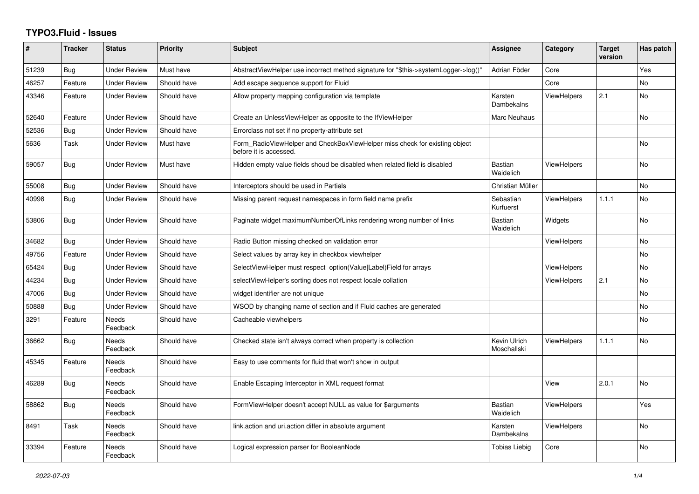## **TYPO3.Fluid - Issues**

| #     | <b>Tracker</b> | <b>Status</b>            | <b>Priority</b> | <b>Subject</b>                                                                                       | <b>Assignee</b>             | Category           | <b>Target</b><br>version | Has patch |
|-------|----------------|--------------------------|-----------------|------------------------------------------------------------------------------------------------------|-----------------------------|--------------------|--------------------------|-----------|
| 51239 | <b>Bug</b>     | <b>Under Review</b>      | Must have       | AbstractViewHelper use incorrect method signature for "\$this->systemLogger->log()"                  | Adrian Föder                | Core               |                          | Yes       |
| 46257 | Feature        | <b>Under Review</b>      | Should have     | Add escape sequence support for Fluid                                                                |                             | Core               |                          | <b>No</b> |
| 43346 | Feature        | <b>Under Review</b>      | Should have     | Allow property mapping configuration via template                                                    | Karsten<br>Dambekalns       | <b>ViewHelpers</b> | 2.1                      | <b>No</b> |
| 52640 | Feature        | <b>Under Review</b>      | Should have     | Create an UnlessViewHelper as opposite to the IfViewHelper                                           | <b>Marc Neuhaus</b>         |                    |                          | <b>No</b> |
| 52536 | Bug            | <b>Under Review</b>      | Should have     | Errorclass not set if no property-attribute set                                                      |                             |                    |                          |           |
| 5636  | Task           | <b>Under Review</b>      | Must have       | Form RadioViewHelper and CheckBoxViewHelper miss check for existing object<br>before it is accessed. |                             |                    |                          | No.       |
| 59057 | Bug            | <b>Under Review</b>      | Must have       | Hidden empty value fields shoud be disabled when related field is disabled                           | <b>Bastian</b><br>Waidelich | <b>ViewHelpers</b> |                          | <b>No</b> |
| 55008 | Bug            | <b>Under Review</b>      | Should have     | Interceptors should be used in Partials                                                              | Christian Müller            |                    |                          | No        |
| 40998 | Bug            | <b>Under Review</b>      | Should have     | Missing parent request namespaces in form field name prefix                                          | Sebastian<br>Kurfuerst      | <b>ViewHelpers</b> | 1.1.1                    | No        |
| 53806 | <b>Bug</b>     | <b>Under Review</b>      | Should have     | Paginate widget maximumNumberOfLinks rendering wrong number of links                                 | <b>Bastian</b><br>Waidelich | Widgets            |                          | <b>No</b> |
| 34682 | Bug            | <b>Under Review</b>      | Should have     | Radio Button missing checked on validation error                                                     |                             | <b>ViewHelpers</b> |                          | No        |
| 49756 | Feature        | <b>Under Review</b>      | Should have     | Select values by array key in checkbox viewhelper                                                    |                             |                    |                          | No        |
| 65424 | Bug            | <b>Under Review</b>      | Should have     | SelectViewHelper must respect option(Value Label)Field for arrays                                    |                             | <b>ViewHelpers</b> |                          | No        |
| 44234 | Bug            | <b>Under Review</b>      | Should have     | selectViewHelper's sorting does not respect locale collation                                         |                             | <b>ViewHelpers</b> | 2.1                      | No        |
| 47006 | Bug            | <b>Under Review</b>      | Should have     | widget identifier are not unique                                                                     |                             |                    |                          | <b>No</b> |
| 50888 | Bug            | <b>Under Review</b>      | Should have     | WSOD by changing name of section and if Fluid caches are generated                                   |                             |                    |                          | No        |
| 3291  | Feature        | <b>Needs</b><br>Feedback | Should have     | Cacheable viewhelpers                                                                                |                             |                    |                          | <b>No</b> |
| 36662 | Bug            | Needs<br>Feedback        | Should have     | Checked state isn't always correct when property is collection                                       | Kevin Ulrich<br>Moschallski | <b>ViewHelpers</b> | 1.1.1                    | No        |
| 45345 | Feature        | Needs<br>Feedback        | Should have     | Easy to use comments for fluid that won't show in output                                             |                             |                    |                          |           |
| 46289 | Bug            | Needs<br>Feedback        | Should have     | Enable Escaping Interceptor in XML request format                                                    |                             | View               | 2.0.1                    | <b>No</b> |
| 58862 | Bug            | Needs<br>Feedback        | Should have     | FormViewHelper doesn't accept NULL as value for \$arguments                                          | <b>Bastian</b><br>Waidelich | <b>ViewHelpers</b> |                          | Yes       |
| 8491  | Task           | <b>Needs</b><br>Feedback | Should have     | link.action and uri.action differ in absolute argument                                               | Karsten<br>Dambekalns       | <b>ViewHelpers</b> |                          | No        |
| 33394 | Feature        | <b>Needs</b><br>Feedback | Should have     | Logical expression parser for BooleanNode                                                            | <b>Tobias Liebig</b>        | Core               |                          | <b>No</b> |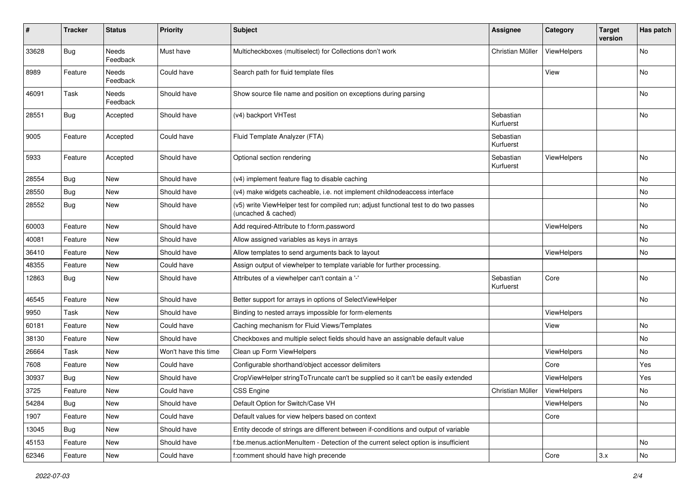| $\vert$ # | <b>Tracker</b> | <b>Status</b>     | <b>Priority</b>      | <b>Subject</b>                                                                                              | <b>Assignee</b>        | Category    | <b>Target</b><br>version | Has patch |
|-----------|----------------|-------------------|----------------------|-------------------------------------------------------------------------------------------------------------|------------------------|-------------|--------------------------|-----------|
| 33628     | Bug            | Needs<br>Feedback | Must have            | Multicheckboxes (multiselect) for Collections don't work                                                    | Christian Müller       | ViewHelpers |                          | <b>No</b> |
| 8989      | Feature        | Needs<br>Feedback | Could have           | Search path for fluid template files                                                                        |                        | View        |                          | No        |
| 46091     | Task           | Needs<br>Feedback | Should have          | Show source file name and position on exceptions during parsing                                             |                        |             |                          | No        |
| 28551     | Bug            | Accepted          | Should have          | (v4) backport VHTest                                                                                        | Sebastian<br>Kurfuerst |             |                          | No        |
| 9005      | Feature        | Accepted          | Could have           | Fluid Template Analyzer (FTA)                                                                               | Sebastian<br>Kurfuerst |             |                          |           |
| 5933      | Feature        | Accepted          | Should have          | Optional section rendering                                                                                  | Sebastian<br>Kurfuerst | ViewHelpers |                          | No        |
| 28554     | Bug            | <b>New</b>        | Should have          | (v4) implement feature flag to disable caching                                                              |                        |             |                          | No        |
| 28550     | Bug            | New               | Should have          | (v4) make widgets cacheable, i.e. not implement childnodeaccess interface                                   |                        |             |                          | No        |
| 28552     | Bug            | New               | Should have          | (v5) write ViewHelper test for compiled run; adjust functional test to do two passes<br>(uncached & cached) |                        |             |                          | No        |
| 60003     | Feature        | <b>New</b>        | Should have          | Add required-Attribute to f:form.password                                                                   |                        | ViewHelpers |                          | No        |
| 40081     | Feature        | New               | Should have          | Allow assigned variables as keys in arrays                                                                  |                        |             |                          | No        |
| 36410     | Feature        | New               | Should have          | Allow templates to send arguments back to layout                                                            |                        | ViewHelpers |                          | No        |
| 48355     | Feature        | New               | Could have           | Assign output of viewhelper to template variable for further processing.                                    |                        |             |                          |           |
| 12863     | Bug            | New               | Should have          | Attributes of a viewhelper can't contain a '-'                                                              | Sebastian<br>Kurfuerst | Core        |                          | No        |
| 46545     | Feature        | New               | Should have          | Better support for arrays in options of SelectViewHelper                                                    |                        |             |                          | No        |
| 9950      | Task           | New               | Should have          | Binding to nested arrays impossible for form-elements                                                       |                        | ViewHelpers |                          |           |
| 60181     | Feature        | <b>New</b>        | Could have           | Caching mechanism for Fluid Views/Templates                                                                 |                        | View        |                          | No        |
| 38130     | Feature        | New               | Should have          | Checkboxes and multiple select fields should have an assignable default value                               |                        |             |                          | No        |
| 26664     | Task           | New               | Won't have this time | Clean up Form ViewHelpers                                                                                   |                        | ViewHelpers |                          | No        |
| 7608      | Feature        | New               | Could have           | Configurable shorthand/object accessor delimiters                                                           |                        | Core        |                          | Yes       |
| 30937     | <b>Bug</b>     | New               | Should have          | CropViewHelper stringToTruncate can't be supplied so it can't be easily extended                            |                        | ViewHelpers |                          | Yes       |
| 3725      | Feature        | New               | Could have           | <b>CSS Engine</b>                                                                                           | Christian Müller       | ViewHelpers |                          | No        |
| 54284     | <b>Bug</b>     | New               | Should have          | Default Option for Switch/Case VH                                                                           |                        | ViewHelpers |                          | No        |
| 1907      | Feature        | New               | Could have           | Default values for view helpers based on context                                                            |                        | Core        |                          |           |
| 13045     | Bug            | New               | Should have          | Entity decode of strings are different between if-conditions and output of variable                         |                        |             |                          |           |
| 45153     | Feature        | New               | Should have          | f:be.menus.actionMenuItem - Detection of the current select option is insufficient                          |                        |             |                          | No        |
| 62346     | Feature        | New               | Could have           | f:comment should have high precende                                                                         |                        | Core        | 3.x                      | No        |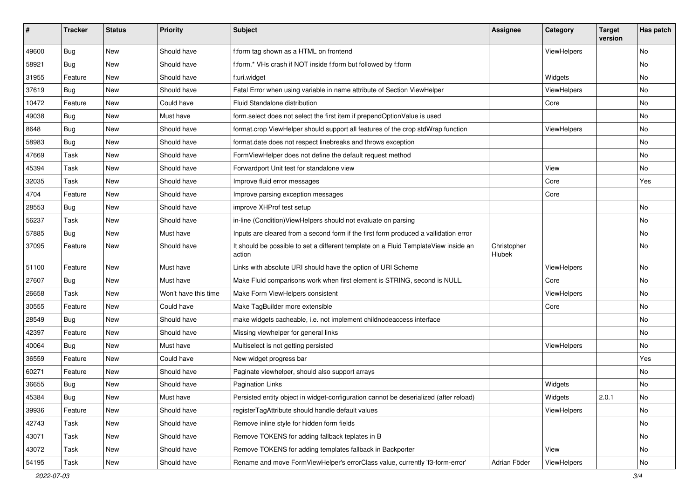| #     | <b>Tracker</b> | <b>Status</b> | <b>Priority</b>      | Subject                                                                                       | <b>Assignee</b>       | Category    | <b>Target</b><br>version | Has patch |
|-------|----------------|---------------|----------------------|-----------------------------------------------------------------------------------------------|-----------------------|-------------|--------------------------|-----------|
| 49600 | Bug            | New           | Should have          | f:form tag shown as a HTML on frontend                                                        |                       | ViewHelpers |                          | <b>No</b> |
| 58921 | Bug            | New           | Should have          | f:form.* VHs crash if NOT inside f:form but followed by f:form                                |                       |             |                          | No        |
| 31955 | Feature        | New           | Should have          | f:uri.widget                                                                                  |                       | Widgets     |                          | No        |
| 37619 | Bug            | <b>New</b>    | Should have          | Fatal Error when using variable in name attribute of Section ViewHelper                       |                       | ViewHelpers |                          | No        |
| 10472 | Feature        | New           | Could have           | Fluid Standalone distribution                                                                 |                       | Core        |                          | No        |
| 49038 | Bug            | New           | Must have            | form.select does not select the first item if prependOptionValue is used                      |                       |             |                          | No        |
| 8648  | Bug            | New           | Should have          | format.crop ViewHelper should support all features of the crop stdWrap function               |                       | ViewHelpers |                          | No        |
| 58983 | Bug            | New           | Should have          | format.date does not respect linebreaks and throws exception                                  |                       |             |                          | No        |
| 47669 | Task           | New           | Should have          | FormViewHelper does not define the default request method                                     |                       |             |                          | <b>No</b> |
| 45394 | Task           | New           | Should have          | Forwardport Unit test for standalone view                                                     |                       | View        |                          | No        |
| 32035 | Task           | New           | Should have          | Improve fluid error messages                                                                  |                       | Core        |                          | Yes       |
| 4704  | Feature        | New           | Should have          | Improve parsing exception messages                                                            |                       | Core        |                          |           |
| 28553 | Bug            | New           | Should have          | improve XHProf test setup                                                                     |                       |             |                          | <b>No</b> |
| 56237 | Task           | New           | Should have          | in-line (Condition) View Helpers should not evaluate on parsing                               |                       |             |                          | No        |
| 57885 | Bug            | New           | Must have            | Inputs are cleared from a second form if the first form produced a vallidation error          |                       |             |                          | No        |
| 37095 | Feature        | New           | Should have          | It should be possible to set a different template on a Fluid TemplateView inside an<br>action | Christopher<br>Hlubek |             |                          | <b>No</b> |
| 51100 | Feature        | New           | Must have            | Links with absolute URI should have the option of URI Scheme                                  |                       | ViewHelpers |                          | <b>No</b> |
| 27607 | Bug            | New           | Must have            | Make Fluid comparisons work when first element is STRING, second is NULL.                     |                       | Core        |                          | <b>No</b> |
| 26658 | Task           | New           | Won't have this time | Make Form ViewHelpers consistent                                                              |                       | ViewHelpers |                          | No        |
| 30555 | Feature        | New           | Could have           | Make TagBuilder more extensible                                                               |                       | Core        |                          | No        |
| 28549 | Bug            | New           | Should have          | make widgets cacheable, i.e. not implement childnodeaccess interface                          |                       |             |                          | <b>No</b> |
| 42397 | Feature        | New           | Should have          | Missing viewhelper for general links                                                          |                       |             |                          | No        |
| 40064 | Bug            | New           | Must have            | Multiselect is not getting persisted                                                          |                       | ViewHelpers |                          | <b>No</b> |
| 36559 | Feature        | New           | Could have           | New widget progress bar                                                                       |                       |             |                          | Yes       |
| 60271 | Feature        | New           | Should have          | Paginate viewhelper, should also support arrays                                               |                       |             |                          | No        |
| 36655 | <b>Bug</b>     | New           | Should have          | <b>Pagination Links</b>                                                                       |                       | Widgets     |                          | No        |
| 45384 | Bug            | New           | Must have            | Persisted entity object in widget-configuration cannot be deserialized (after reload)         |                       | Widgets     | 2.0.1                    | No        |
| 39936 | Feature        | New           | Should have          | registerTagAttribute should handle default values                                             |                       | ViewHelpers |                          | No        |
| 42743 | Task           | New           | Should have          | Remove inline style for hidden form fields                                                    |                       |             |                          | No        |
| 43071 | Task           | New           | Should have          | Remove TOKENS for adding fallback teplates in B                                               |                       |             |                          | No        |
| 43072 | Task           | New           | Should have          | Remove TOKENS for adding templates fallback in Backporter                                     |                       | View        |                          | No        |
| 54195 | Task           | New           | Should have          | Rename and move FormViewHelper's errorClass value, currently 'f3-form-error'                  | Adrian Föder          | ViewHelpers |                          | No        |